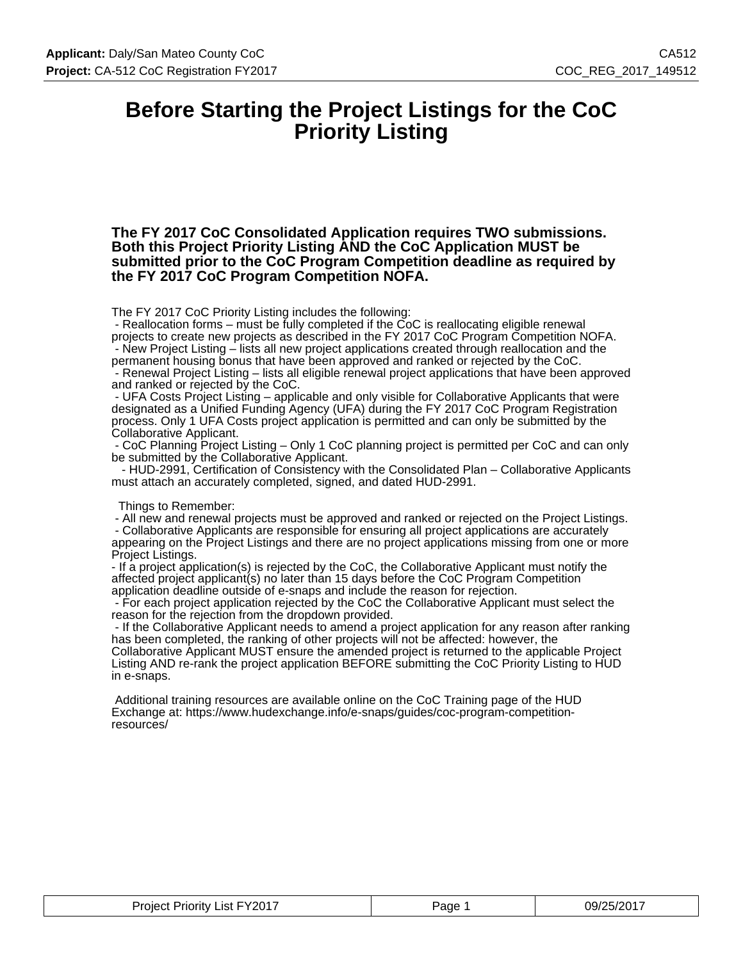### **Before Starting the Project Listings for the CoC Priority Listing**

**The FY 2017 CoC Consolidated Application requires TWO submissions. Both this Project Priority Listing AND the CoC Application MUST be submitted prior to the CoC Program Competition deadline as required by the FY 2017 CoC Program Competition NOFA.**

The FY 2017 CoC Priority Listing includes the following:

 - Reallocation forms – must be fully completed if the CoC is reallocating eligible renewal projects to create new projects as described in the FY 2017 CoC Program Competition NOFA. - New Project Listing – lists all new project applications created through reallocation and the

permanent housing bonus that have been approved and ranked or rejected by the CoC. - Renewal Project Listing – lists all eligible renewal project applications that have been approved and ranked or rejected by the CoC.

 - UFA Costs Project Listing – applicable and only visible for Collaborative Applicants that were designated as a Unified Funding Agency (UFA) during the FY 2017 CoC Program Registration process. Only 1 UFA Costs project application is permitted and can only be submitted by the Collaborative Applicant.

 - CoC Planning Project Listing – Only 1 CoC planning project is permitted per CoC and can only be submitted by the Collaborative Applicant.

 - HUD-2991, Certification of Consistency with the Consolidated Plan – Collaborative Applicants must attach an accurately completed, signed, and dated HUD-2991.

Things to Remember:

 - All new and renewal projects must be approved and ranked or rejected on the Project Listings. - Collaborative Applicants are responsible for ensuring all project applications are accurately appearing on the Project Listings and there are no project applications missing from one or more

Project Listings.

- If a project application(s) is rejected by the CoC, the Collaborative Applicant must notify the affected project applicant(s) no later than 15 days before the CoC Program Competition application deadline outside of e-snaps and include the reason for rejection.

 - For each project application rejected by the CoC the Collaborative Applicant must select the reason for the rejection from the dropdown provided.

 - If the Collaborative Applicant needs to amend a project application for any reason after ranking has been completed, the ranking of other projects will not be affected: however, the Collaborative Applicant MUST ensure the amended project is returned to the applicable Project Listing AND re-rank the project application BEFORE submitting the CoC Priority Listing to HUD in e-snaps.

 Additional training resources are available online on the CoC Training page of the HUD Exchange at: https://www.hudexchange.info/e-snaps/guides/coc-program-competitionresources/

| List FY2017<br>Proiect<br><b>Priority</b><br>$\sim$ $\sim$<br>______ | Page | 09/25/2017 |
|----------------------------------------------------------------------|------|------------|
|----------------------------------------------------------------------|------|------------|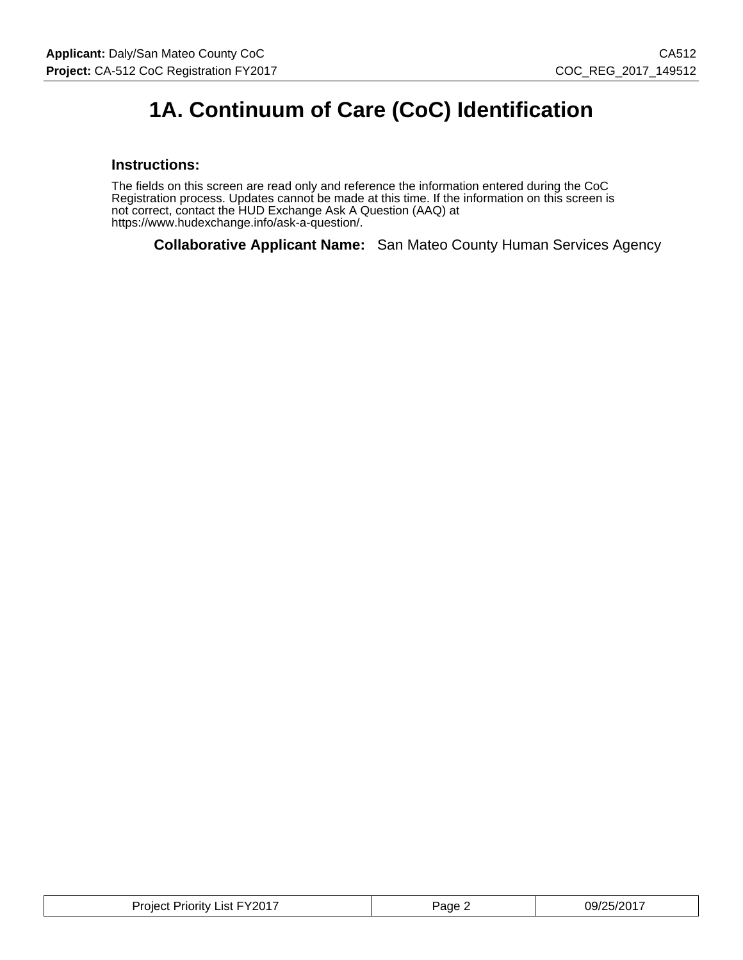### **1A. Continuum of Care (CoC) Identification**

#### **Instructions:**

The fields on this screen are read only and reference the information entered during the CoC Registration process. Updates cannot be made at this time. If the information on this screen is not correct, contact the HUD Exchange Ask A Question (AAQ) at https://www.hudexchange.info/ask-a-question/.

**Collaborative Applicant Name:** San Mateo County Human Services Agency

| <b>Project Priority List FY2017</b> | Page. | 09/25/2017 |
|-------------------------------------|-------|------------|
|-------------------------------------|-------|------------|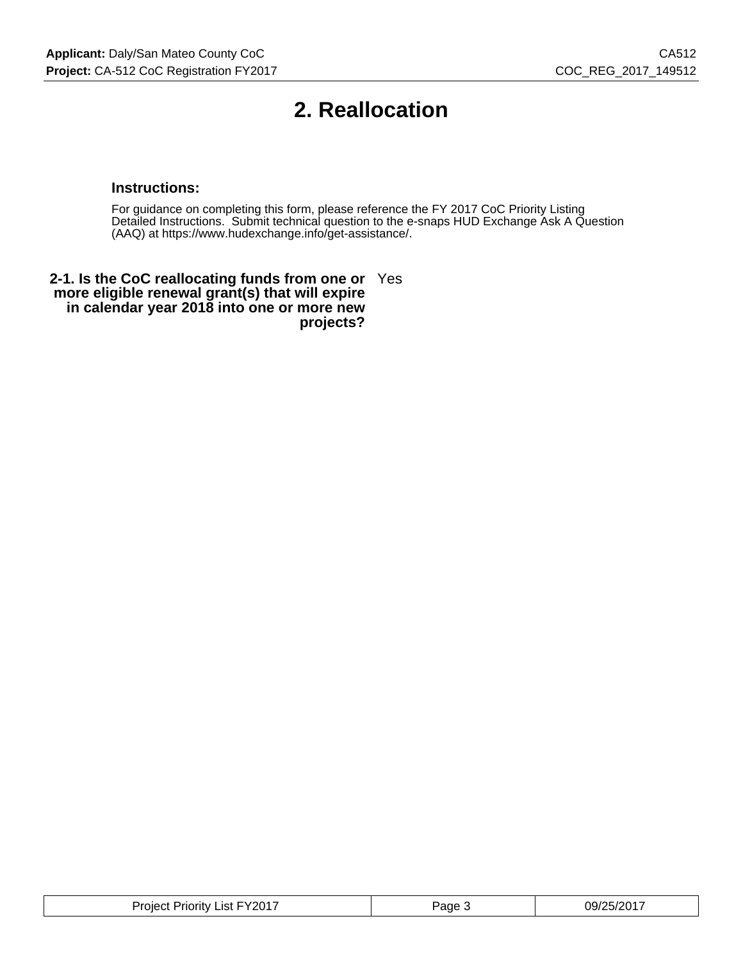### **2. Reallocation**

#### **Instructions:**

For guidance on completing this form, please reference the FY 2017 CoC Priority Listing Detailed Instructions. Submit technical question to the e-snaps HUD Exchange Ask A Question (AAQ) at https://www.hudexchange.info/get-assistance/.

**2-1. Is the CoC reallocating funds from one or** Yes **more eligible renewal grant(s) that will expire in calendar year 2018 into one or more new projects?**

| י הרזכי<br>'ane<br>rıorıtv<br>.ıst<br>. . v<br>۱۵۱۴.<br>.<br>$\sim$ | ີ′′?∩າ∴<br>197<br>-v |
|---------------------------------------------------------------------|----------------------|
|---------------------------------------------------------------------|----------------------|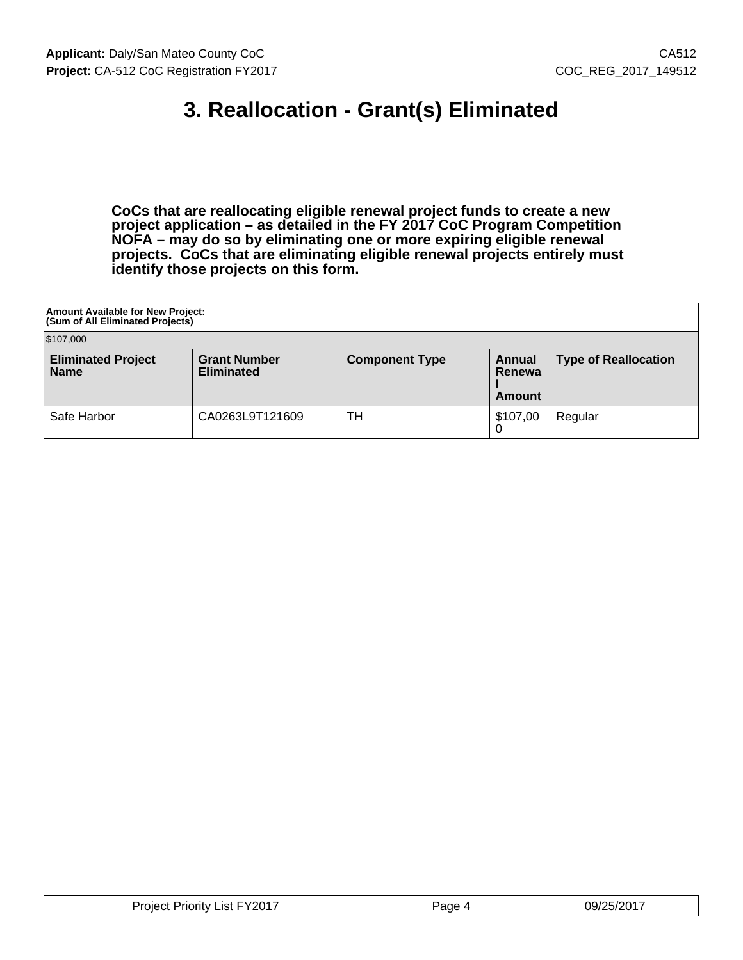### **3. Reallocation - Grant(s) Eliminated**

**CoCs that are reallocating eligible renewal project funds to create a new project application – as detailed in the FY 2017 CoC Program Competition NOFA – may do so by eliminating one or more expiring eligible renewal projects. CoCs that are eliminating eligible renewal projects entirely must identify those projects on this form.**

| <b>Amount Available for New Project:</b><br>(Sum of All Eliminated Projects) |                                          |                       |                            |                             |
|------------------------------------------------------------------------------|------------------------------------------|-----------------------|----------------------------|-----------------------------|
| \$107,000                                                                    |                                          |                       |                            |                             |
| <b>Eliminated Project</b><br><b>Name</b>                                     | <b>Grant Number</b><br><b>Eliminated</b> | <b>Component Type</b> | Annual<br>Renewa<br>Amount | <b>Type of Reallocation</b> |
| Safe Harbor                                                                  | CA0263L9T121609                          | TН                    | \$107,00                   | Regular                     |

| Depart List FY2017<br>Project <sup>*</sup> | Page | 09/25/2017 |
|--------------------------------------------|------|------------|
|--------------------------------------------|------|------------|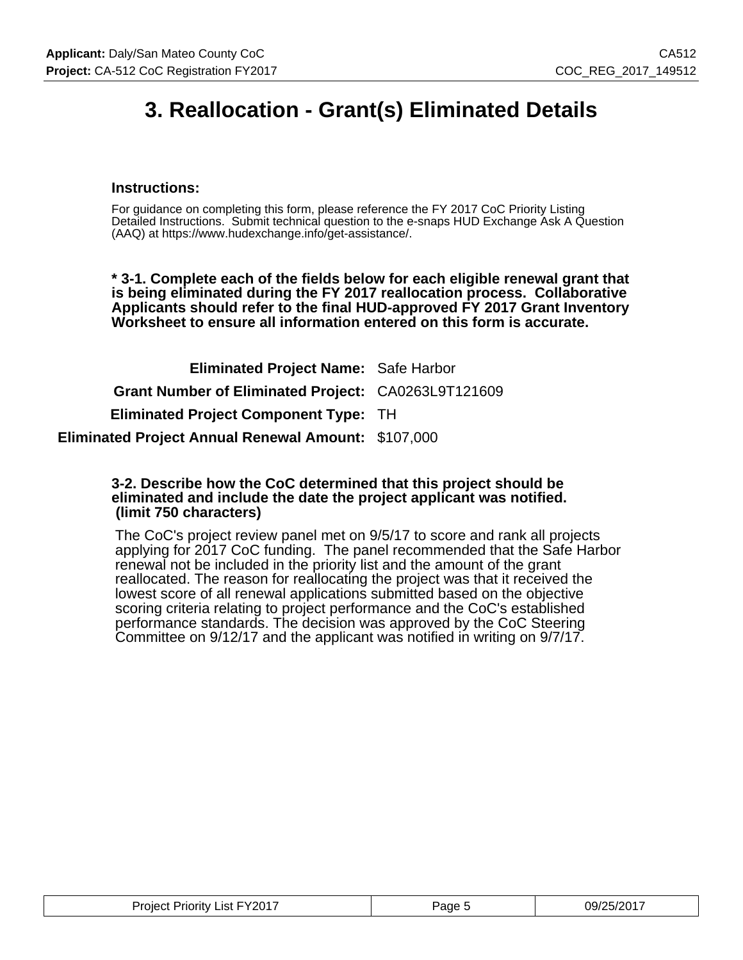### **3. Reallocation - Grant(s) Eliminated Details**

#### **Instructions:**

For guidance on completing this form, please reference the FY 2017 CoC Priority Listing Detailed Instructions. Submit technical question to the e-snaps HUD Exchange Ask A Question (AAQ) at https://www.hudexchange.info/get-assistance/.

**\* 3-1. Complete each of the fields below for each eligible renewal grant that is being eliminated during the FY 2017 reallocation process. Collaborative Applicants should refer to the final HUD-approved FY 2017 Grant Inventory Worksheet to ensure all information entered on this form is accurate.**

| <b>Eliminated Project Name: Safe Harbor</b>                |  |
|------------------------------------------------------------|--|
| Grant Number of Eliminated Project: CA0263L9T121609        |  |
| <b>Eliminated Project Component Type: TH</b>               |  |
| <b>Eliminated Project Annual Renewal Amount: \$107,000</b> |  |

#### **3-2. Describe how the CoC determined that this project should be eliminated and include the date the project applicant was notified. (limit 750 characters)**

The CoC's project review panel met on 9/5/17 to score and rank all projects applying for 2017 CoC funding. The panel recommended that the Safe Harbor renewal not be included in the priority list and the amount of the grant reallocated. The reason for reallocating the project was that it received the lowest score of all renewal applications submitted based on the objective scoring criteria relating to project performance and the CoC's established performance standards. The decision was approved by the CoC Steering Committee on 9/12/17 and the applicant was notified in writing on 9/7/17.

| <b>Project Priority List FY2017</b> | Page 5 | 09/25/2017 |
|-------------------------------------|--------|------------|
|-------------------------------------|--------|------------|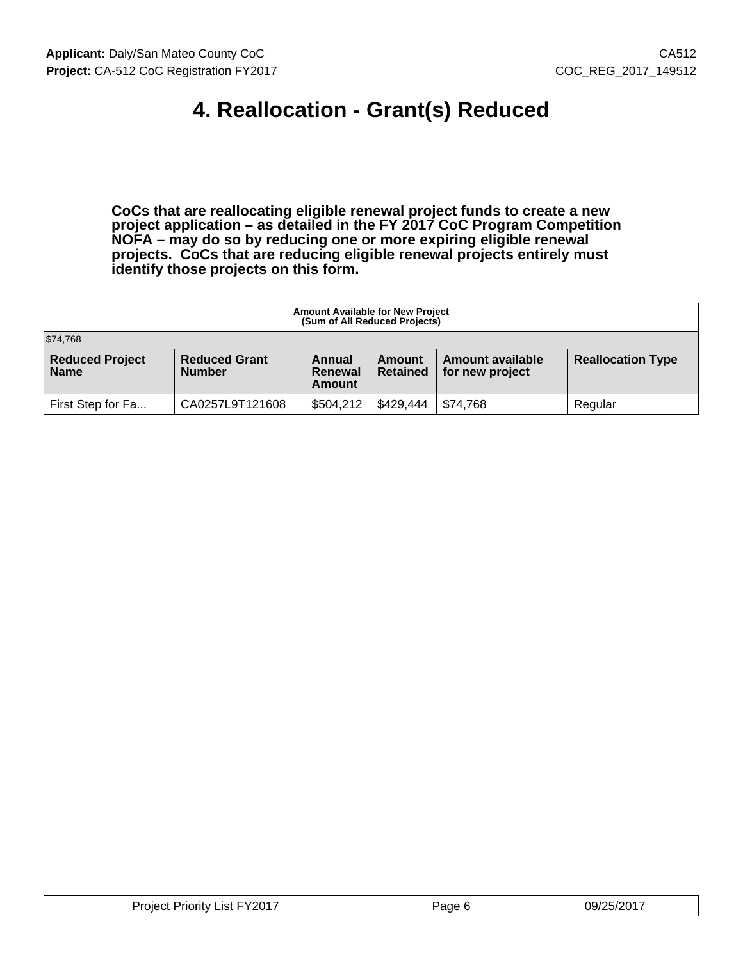### **4. Reallocation - Grant(s) Reduced**

**CoCs that are reallocating eligible renewal project funds to create a new project application – as detailed in the FY 2017 CoC Program Competition NOFA – may do so by reducing one or more expiring eligible renewal projects. CoCs that are reducing eligible renewal projects entirely must identify those projects on this form.**

| <b>Amount Available for New Project</b><br>(Sum of All Reduced Projects) |                                       |                             |                           |                                            |                          |
|--------------------------------------------------------------------------|---------------------------------------|-----------------------------|---------------------------|--------------------------------------------|--------------------------|
| \$74,768                                                                 |                                       |                             |                           |                                            |                          |
| <b>Reduced Project</b><br><b>Name</b>                                    | <b>Reduced Grant</b><br><b>Number</b> | Annual<br>Renewal<br>Amount | Amount<br><b>Retained</b> | <b>Amount available</b><br>for new project | <b>Reallocation Type</b> |
| First Step for Fa                                                        | CA0257L9T121608                       | \$504,212                   | \$429,444                 | \$74,768                                   | Regular                  |

| `Y201.<br>.ıst<br>.olec<br>жну<br>ΊК<br>- -<br>. . | аое | . .<br><u>ng,</u><br>112 |
|----------------------------------------------------|-----|--------------------------|
|----------------------------------------------------|-----|--------------------------|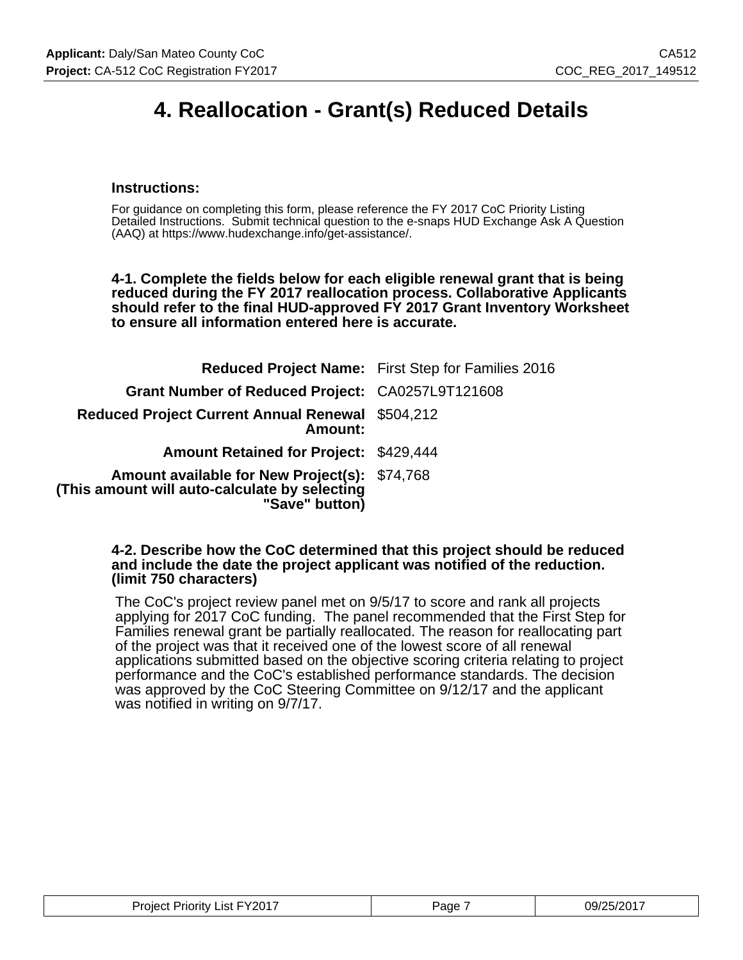### **4. Reallocation - Grant(s) Reduced Details**

#### **Instructions:**

For guidance on completing this form, please reference the FY 2017 CoC Priority Listing Detailed Instructions. Submit technical question to the e-snaps HUD Exchange Ask A Question (AAQ) at https://www.hudexchange.info/get-assistance/.

**4-1. Complete the fields below for each eligible renewal grant that is being reduced during the FY 2017 reallocation process. Collaborative Applicants should refer to the final HUD-approved FY 2017 Grant Inventory Worksheet to ensure all information entered here is accurate.**

|                                                                                                                  | <b>Reduced Project Name:</b> First Step for Families 2016 |
|------------------------------------------------------------------------------------------------------------------|-----------------------------------------------------------|
| Grant Number of Reduced Project: CA0257L9T121608                                                                 |                                                           |
| <b>Reduced Project Current Annual Renewal \$504,212</b><br>Amount:                                               |                                                           |
| <b>Amount Retained for Project: \$429,444</b>                                                                    |                                                           |
| Amount available for New Project(s): \$74,768<br>(This amount will auto-calculate by selecting<br>"Save" button) |                                                           |

#### **4-2. Describe how the CoC determined that this project should be reduced and include the date the project applicant was notified of the reduction. (limit 750 characters)**

The CoC's project review panel met on 9/5/17 to score and rank all projects applying for 2017 CoC funding. The panel recommended that the First Step for Families renewal grant be partially reallocated. The reason for reallocating part of the project was that it received one of the lowest score of all renewal applications submitted based on the objective scoring criteria relating to project performance and the CoC's established performance standards. The decision was approved by the CoC Steering Committee on 9/12/17 and the applicant was notified in writing on 9/7/17.

| <b>Project Priority List FY2017</b> | Page | 09/25/2017 |
|-------------------------------------|------|------------|
|-------------------------------------|------|------------|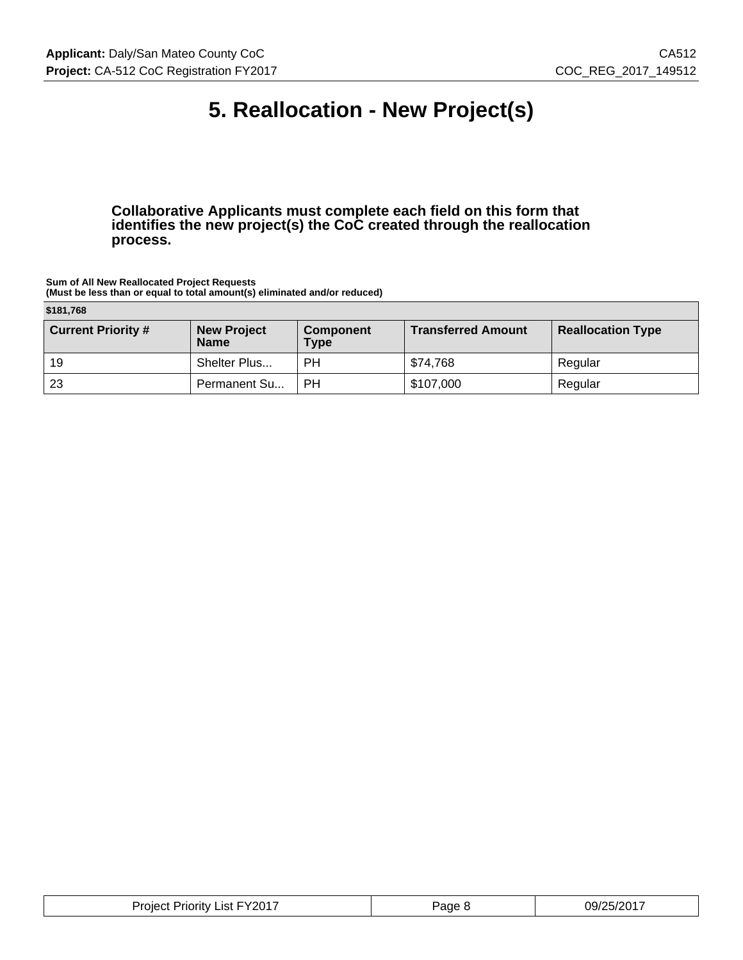### **5. Reallocation - New Project(s)**

**Collaborative Applicants must complete each field on this form that identifies the new project(s) the CoC created through the reallocation process.**

**Sum of All New Reallocated Project Requests (Must be less than or equal to total amount(s) eliminated and/or reduced)**

|  | \$181,768 |  |
|--|-----------|--|
|  |           |  |

| $V = V$                   |                                   |                                 |                           |                          |  |  |  |
|---------------------------|-----------------------------------|---------------------------------|---------------------------|--------------------------|--|--|--|
| <b>Current Priority #</b> | <b>New Project</b><br><b>Name</b> | <b>Component</b><br><b>Type</b> | <b>Transferred Amount</b> | <b>Reallocation Type</b> |  |  |  |
| 19                        | Shelter Plus                      | РH                              | \$74,768                  | Regular                  |  |  |  |
| -23                       | Permanent Su                      | РH                              | \$107,000                 | Regular                  |  |  |  |

| <b>Project Priority List FY2017</b> | Page 8 | 09/25/2017 |
|-------------------------------------|--------|------------|
|-------------------------------------|--------|------------|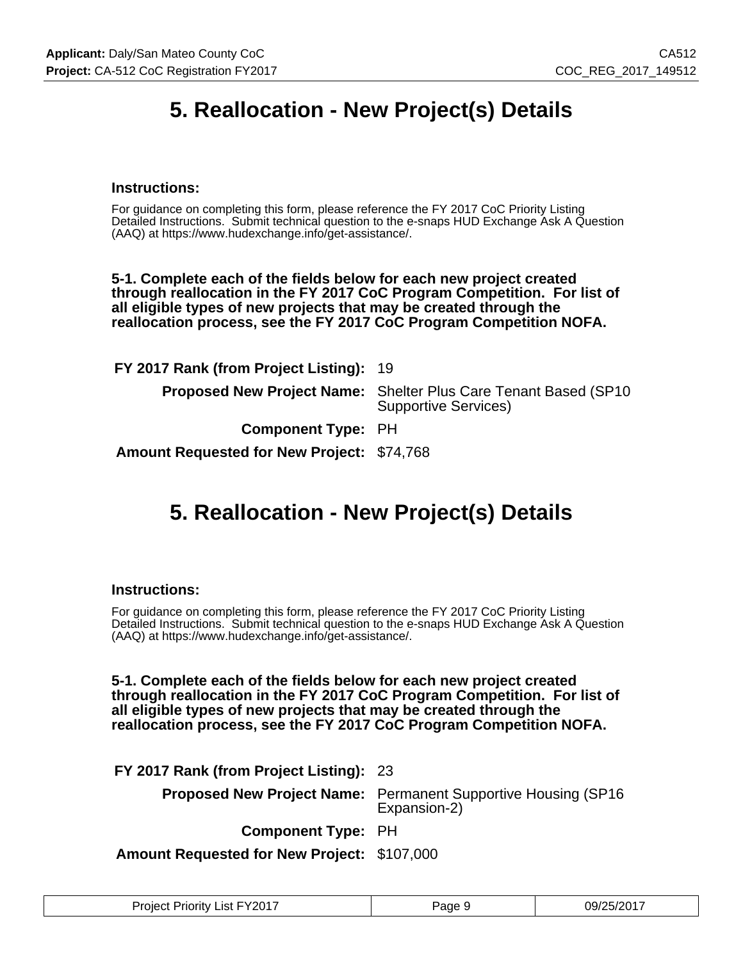### **5. Reallocation - New Project(s) Details**

#### **Instructions:**

For guidance on completing this form, please reference the FY 2017 CoC Priority Listing Detailed Instructions. Submit technical question to the e-snaps HUD Exchange Ask A Question (AAQ) at https://www.hudexchange.info/get-assistance/.

**5-1. Complete each of the fields below for each new project created through reallocation in the FY 2017 CoC Program Competition. For list of all eligible types of new projects that may be created through the reallocation process, see the FY 2017 CoC Program Competition NOFA.**

| FY 2017 Rank (from Project Listing): 19           |                                                                                                        |
|---------------------------------------------------|--------------------------------------------------------------------------------------------------------|
|                                                   | <b>Proposed New Project Name:</b> Shelter Plus Care Tenant Based (SP10)<br><b>Supportive Services)</b> |
| <b>Component Type: PH</b>                         |                                                                                                        |
| <b>Amount Requested for New Project: \$74,768</b> |                                                                                                        |

### **5. Reallocation - New Project(s) Details**

#### **Instructions:**

For guidance on completing this form, please reference the FY 2017 CoC Priority Listing Detailed Instructions. Submit technical question to the e-snaps HUD Exchange Ask A Question (AAQ) at https://www.hudexchange.info/get-assistance/.

**5-1. Complete each of the fields below for each new project created through reallocation in the FY 2017 CoC Program Competition. For list of all eligible types of new projects that may be created through the reallocation process, see the FY 2017 CoC Program Competition NOFA.**

**FY 2017 Rank (from Project Listing):** 23

**Proposed New Project Name:** Permanent Supportive Housing (SP16 Expansion-2)

**Component Type:** PH

**Amount Requested for New Project:** \$107,000

| <b>Project Priority List FY2017</b> | Page | 09/25/2017 |
|-------------------------------------|------|------------|
|-------------------------------------|------|------------|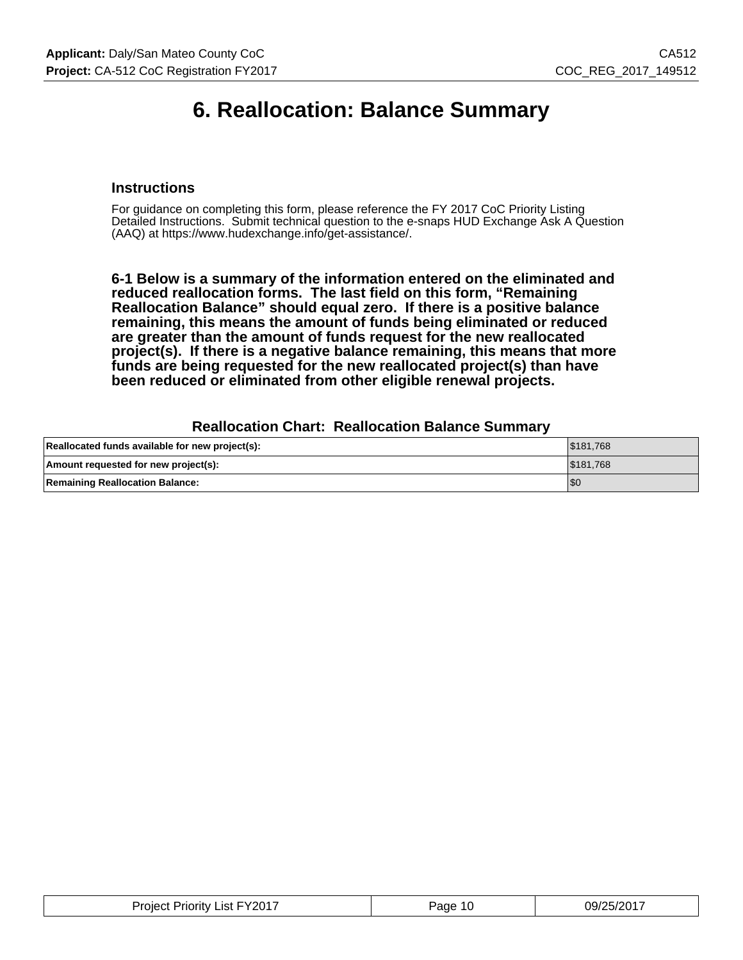### **6. Reallocation: Balance Summary**

#### **Instructions**

For guidance on completing this form, please reference the FY 2017 CoC Priority Listing Detailed Instructions. Submit technical question to the e-snaps HUD Exchange Ask A Question (AAQ) at https://www.hudexchange.info/get-assistance/.

**6-1 Below is a summary of the information entered on the eliminated and reduced reallocation forms. The last field on this form, "Remaining Reallocation Balance" should equal zero. If there is a positive balance remaining, this means the amount of funds being eliminated or reduced are greater than the amount of funds request for the new reallocated project(s). If there is a negative balance remaining, this means that more funds are being requested for the new reallocated project(s) than have been reduced or eliminated from other eligible renewal projects.**

#### **Reallocation Chart: Reallocation Balance Summary**

| Reallocated funds available for new project(s): | \$181.768 |
|-------------------------------------------------|-----------|
| Amount requested for new project(s):            | \$181.768 |
| <b>Remaining Reallocation Balance:</b>          | 'SC       |

| <b>Project Priority List FY2017</b> | Paɑe<br>10 | 09/25/2017 |
|-------------------------------------|------------|------------|
|-------------------------------------|------------|------------|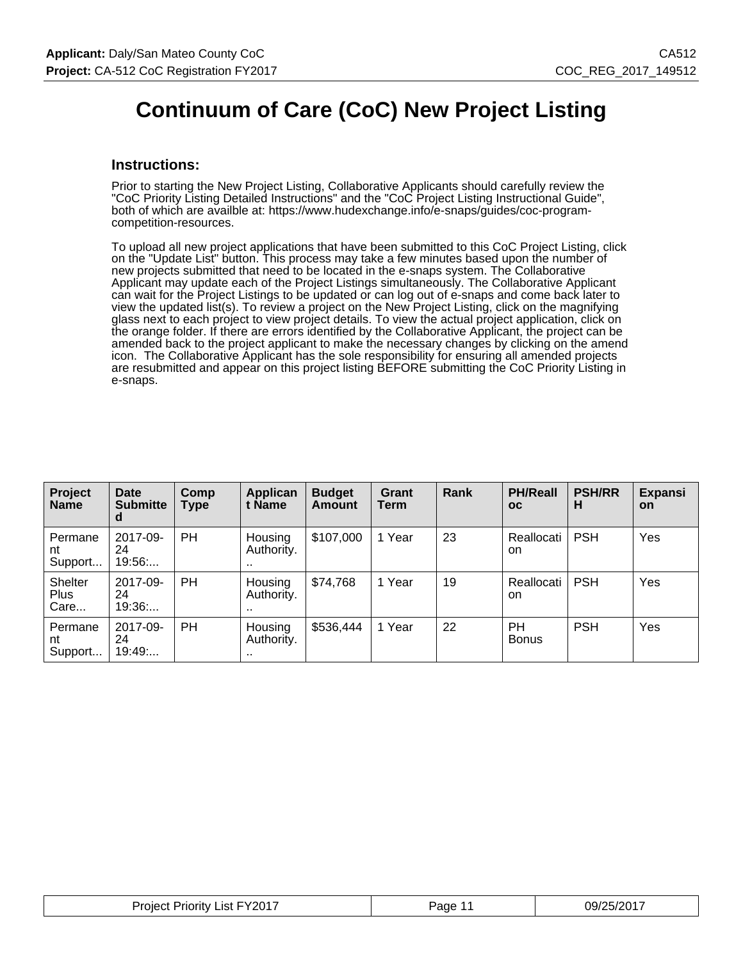### **Continuum of Care (CoC) New Project Listing**

#### **Instructions:**

Prior to starting the New Project Listing, Collaborative Applicants should carefully review the "CoC Priority Listing Detailed Instructions" and the "CoC Project Listing Instructional Guide", both of which are availble at: https://www.hudexchange.info/e-snaps/guides/coc-programcompetition-resources.

To upload all new project applications that have been submitted to this CoC Project Listing, click on the "Update List" button. This process may take a few minutes based upon the number of new projects submitted that need to be located in the e-snaps system. The Collaborative Applicant may update each of the Project Listings simultaneously. The Collaborative Applicant can wait for the Project Listings to be updated or can log out of e-snaps and come back later to view the updated list(s). To review a project on the New Project Listing, click on the magnifying glass next to each project to view project details. To view the actual project application, click on the orange folder. If there are errors identified by the Collaborative Applicant, the project can be amended back to the project applicant to make the necessary changes by clicking on the amend icon. The Collaborative Applicant has the sole responsibility for ensuring all amended projects are resubmitted and appear on this project listing BEFORE submitting the CoC Priority Listing in e-snaps.

| Project<br><b>Name</b>                | Date<br><b>Submitte</b><br>d | Comp<br>Type | Applican<br>t Name        | <b>Budget</b><br><b>Amount</b> | Grant<br>Term | Rank | <b>PH/Reall</b><br><b>OC</b> | <b>PSH/RR</b><br>н | <b>Expansi</b><br>on |
|---------------------------------------|------------------------------|--------------|---------------------------|--------------------------------|---------------|------|------------------------------|--------------------|----------------------|
| Permane<br>nt<br>Support              | 2017-09-<br>24<br>19:56      | PH           | Housing<br>Authority.<br> | \$107,000                      | 1 Year        | 23   | Reallocati<br>on.            | <b>PSH</b>         | Yes                  |
| <b>Shelter</b><br><b>Plus</b><br>Care | 2017-09-<br>24<br>19:36      | PH           | Housing<br>Authority.<br> | \$74,768                       | 1 Year        | 19   | Reallocati<br>on.            | <b>PSH</b>         | Yes                  |
| Permane<br>nt<br>Support              | 2017-09-<br>24<br>19:49      | PH           | Housing<br>Authority.<br> | \$536,444                      | 1 Year        | 22   | <b>PH</b><br><b>Bonus</b>    | <b>PSH</b>         | Yes                  |

| <b>Project Priority List FY2017</b> | Page 11 | 09/25/2017 |
|-------------------------------------|---------|------------|
|-------------------------------------|---------|------------|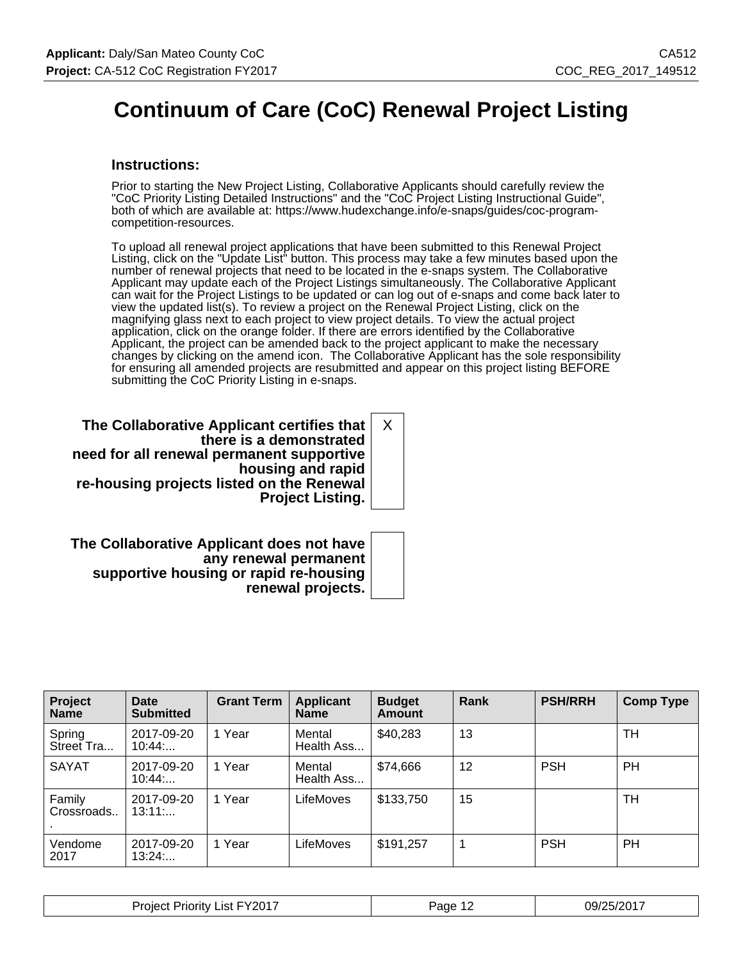### **Continuum of Care (CoC) Renewal Project Listing**

#### **Instructions:**

Prior to starting the New Project Listing, Collaborative Applicants should carefully review the "CoC Priority Listing Detailed Instructions" and the "CoC Project Listing Instructional Guide", both of which are available at: https://www.hudexchange.info/e-snaps/guides/coc-programcompetition-resources.

To upload all renewal project applications that have been submitted to this Renewal Project Listing, click on the "Update List" button. This process may take a few minutes based upon the number of renewal projects that need to be located in the e-snaps system. The Collaborative Applicant may update each of the Project Listings simultaneously. The Collaborative Applicant can wait for the Project Listings to be updated or can log out of e-snaps and come back later to view the updated list(s). To review a project on the Renewal Project Listing, click on the magnifying glass next to each project to view project details. To view the actual project application, click on the orange folder. If there are errors identified by the Collaborative Applicant, the project can be amended back to the project applicant to make the necessary changes by clicking on the amend icon. The Collaborative Applicant has the sole responsibility for ensuring all amended projects are resubmitted and appear on this project listing BEFORE submitting the CoC Priority Listing in e-snaps.

**The Collaborative Applicant certifies that there is a demonstrated need for all renewal permanent supportive housing and rapid re-housing projects listed on the Renewal Project Listing.** X

**The Collaborative Applicant does not have any renewal permanent supportive housing or rapid re-housing renewal projects.**

| Project<br><b>Name</b> | Date<br><b>Submitted</b> | <b>Grant Term</b> | <b>Applicant</b><br><b>Name</b> | <b>Budget</b><br><b>Amount</b> | Rank | <b>PSH/RRH</b> | <b>Comp Type</b> |
|------------------------|--------------------------|-------------------|---------------------------------|--------------------------------|------|----------------|------------------|
| Spring<br>Street Tra   | 2017-09-20<br>10:44      | 1 Year            | Mental<br>Health Ass            | \$40,283                       | 13   |                | TН               |
| <b>SAYAT</b>           | 2017-09-20<br>10:44      | 1 Year            | Mental<br>Health Ass            | \$74,666                       | 12   | <b>PSH</b>     | <b>PH</b>        |
| Family<br>Crossroads   | 2017-09-20<br>13:11      | 1 Year            | LifeMoves                       | \$133,750                      | 15   |                | TН               |
| Vendome<br>2017        | 2017-09-20<br>13:24      | 1 Year            | LifeMoves                       | \$191,257                      | -1   | <b>PSH</b>     | <b>PH</b>        |

| $\lambda$ FY201 $^-$<br>Project<br>.ıst<br>nority | Page<br>. .<br>. . | 10017<br>09/25<br>$-9/7$<br>- 2 |
|---------------------------------------------------|--------------------|---------------------------------|
|---------------------------------------------------|--------------------|---------------------------------|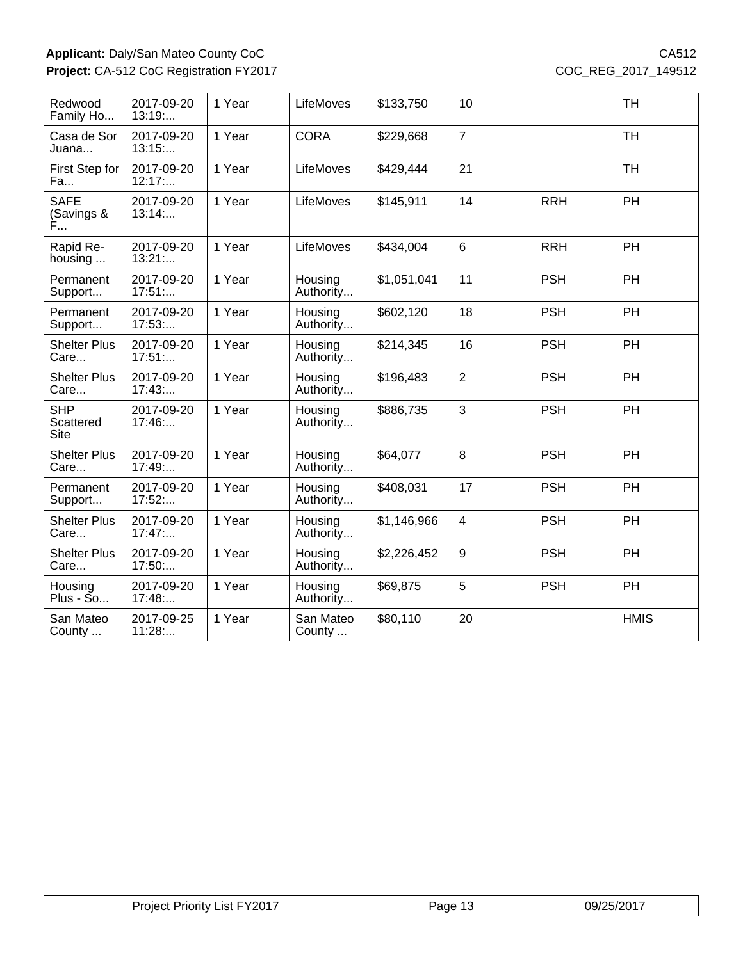#### Applicant: Daly/San Mateo County CoC CA512 **Project:** CA-512 CoC Registration FY2017 COC\_REG\_2017\_149512

| Redwood<br>Family Ho                   | 2017-09-20<br>13:19  | 1 Year | LifeMoves            | \$133,750   | 10                      |            | <b>TH</b>   |
|----------------------------------------|----------------------|--------|----------------------|-------------|-------------------------|------------|-------------|
| Casa de Sor<br>Juana                   | 2017-09-20<br>13:15  | 1 Year | <b>CORA</b>          | \$229,668   | $\overline{7}$          |            | <b>TH</b>   |
| First Step for<br>Fa                   | 2017-09-20<br>12:17: | 1 Year | LifeMoves            | \$429,444   | 21                      |            | <b>TH</b>   |
| <b>SAFE</b><br>(Savings &<br>Ė         | 2017-09-20<br>13:14  | 1 Year | LifeMoves            | \$145,911   | 14                      | <b>RRH</b> | PH          |
| Rapid Re-<br>housing                   | 2017-09-20<br>13:21  | 1 Year | LifeMoves            | \$434,004   | $6\phantom{1}$          | <b>RRH</b> | PH          |
| Permanent<br>Support                   | 2017-09-20<br>17:51  | 1 Year | Housing<br>Authority | \$1,051,041 | 11                      | <b>PSH</b> | PH          |
| Permanent<br>Support                   | 2017-09-20<br>17:53  | 1 Year | Housing<br>Authority | \$602,120   | 18                      | <b>PSH</b> | PH          |
| <b>Shelter Plus</b><br>Care            | 2017-09-20<br>17:51  | 1 Year | Housing<br>Authority | \$214,345   | 16                      | <b>PSH</b> | PH          |
| <b>Shelter Plus</b><br>Care            | 2017-09-20<br>17:43  | 1 Year | Housing<br>Authority | \$196,483   | $\overline{2}$          | <b>PSH</b> | PH          |
| <b>SHP</b><br>Scattered<br><b>Site</b> | 2017-09-20<br>17:46  | 1 Year | Housing<br>Authority | \$886,735   | 3                       | <b>PSH</b> | PH          |
| <b>Shelter Plus</b><br>Care            | 2017-09-20<br>17:49: | 1 Year | Housing<br>Authority | \$64,077    | 8                       | <b>PSH</b> | PH          |
| Permanent<br>Support                   | 2017-09-20<br>17:52  | 1 Year | Housing<br>Authority | \$408,031   | 17                      | <b>PSH</b> | PH          |
| <b>Shelter Plus</b><br>Care            | 2017-09-20<br>17:47  | 1 Year | Housing<br>Authority | \$1,146,966 | $\overline{\mathbf{4}}$ | <b>PSH</b> | <b>PH</b>   |
| <b>Shelter Plus</b><br>Care            | 2017-09-20<br>17:50: | 1 Year | Housing<br>Authority | \$2,226,452 | 9                       | <b>PSH</b> | PH          |
| Housing<br>$Plus - So$                 | 2017-09-20<br>17:48  | 1 Year | Housing<br>Authority | \$69,875    | 5                       | <b>PSH</b> | PH          |
| San Mateo<br>County                    | 2017-09-25<br>11:28  | 1 Year | San Mateo<br>County  | \$80,110    | 20                      |            | <b>HMIS</b> |

| Project Priority List FY2017 | Page<br>ں ا | 09/25/2017 |
|------------------------------|-------------|------------|
|------------------------------|-------------|------------|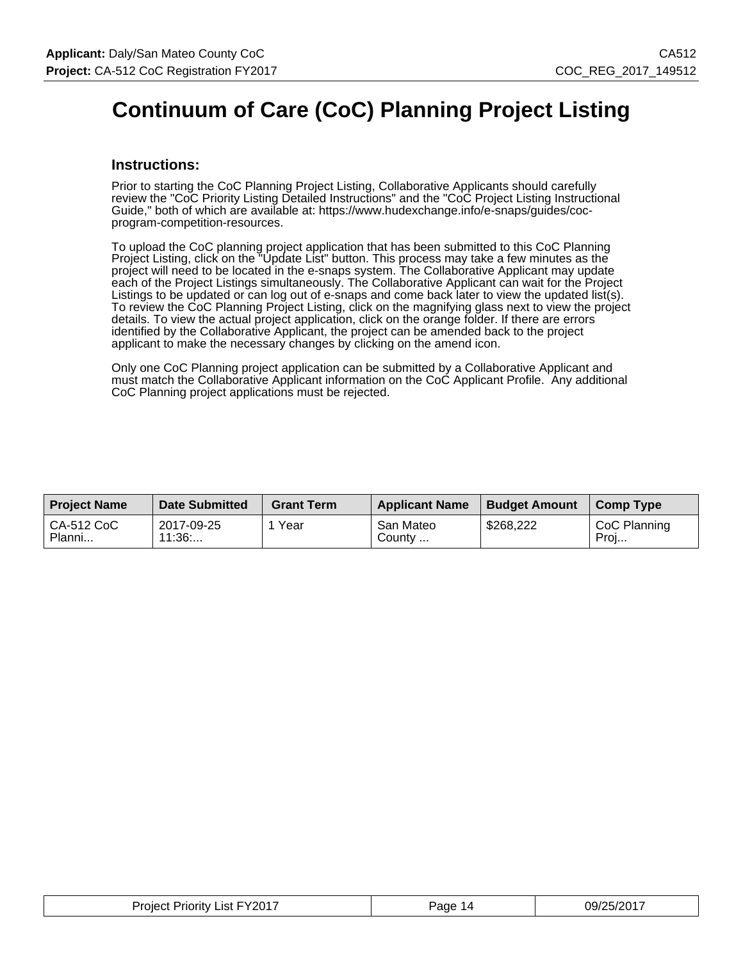### **Continuum of Care (CoC) Planning Project Listing**

#### **Instructions:**

Prior to starting the CoC Planning Project Listing, Collaborative Applicants should carefully review the "CoC Priority Listing Detailed Instructions" and the "CoC Project Listing Instructional Guide," both of which are available at: https://www.hudexchange.info/e-snaps/guides/cocprogram-competition-resources.

To upload the CoC planning project application that has been submitted to this CoC Planning Project Listing, click on the "Update List" button. This process may take a few minutes as the project will need to be located in the e-snaps system. The Collaborative Applicant may update each of the Project Listings simultaneously. The Collaborative Applicant can wait for the Project Listings to be updated or can log out of e-snaps and come back later to view the updated list(s). To review the CoC Planning Project Listing, click on the magnifying glass next to view the project details. To view the actual project application, click on the orange folder. If there are errors identified by the Collaborative Applicant, the project can be amended back to the project applicant to make the necessary changes by clicking on the amend icon.

Only one CoC Planning project application can be submitted by a Collaborative Applicant and must match the Collaborative Applicant information on the CoC Applicant Profile. Any additional CoC Planning project applications must be rejected.

| <b>Proiect Name</b>  | <b>Date Submitted</b> | <b>Grant Term</b> | <b>Applicant Name</b> | <b>Budget Amount</b> | <b>Comp Type</b>     |
|----------------------|-----------------------|-------------------|-----------------------|----------------------|----------------------|
| CA-512 CoC<br>Planni | 2017-09-25<br>11:36   | Year              | San Mateo<br>County   | \$268,222            | CoC Planning<br>Proj |

| <b>Project Priority List FY2017</b> | Page<br>ıд | 09/25/2017 |
|-------------------------------------|------------|------------|
|-------------------------------------|------------|------------|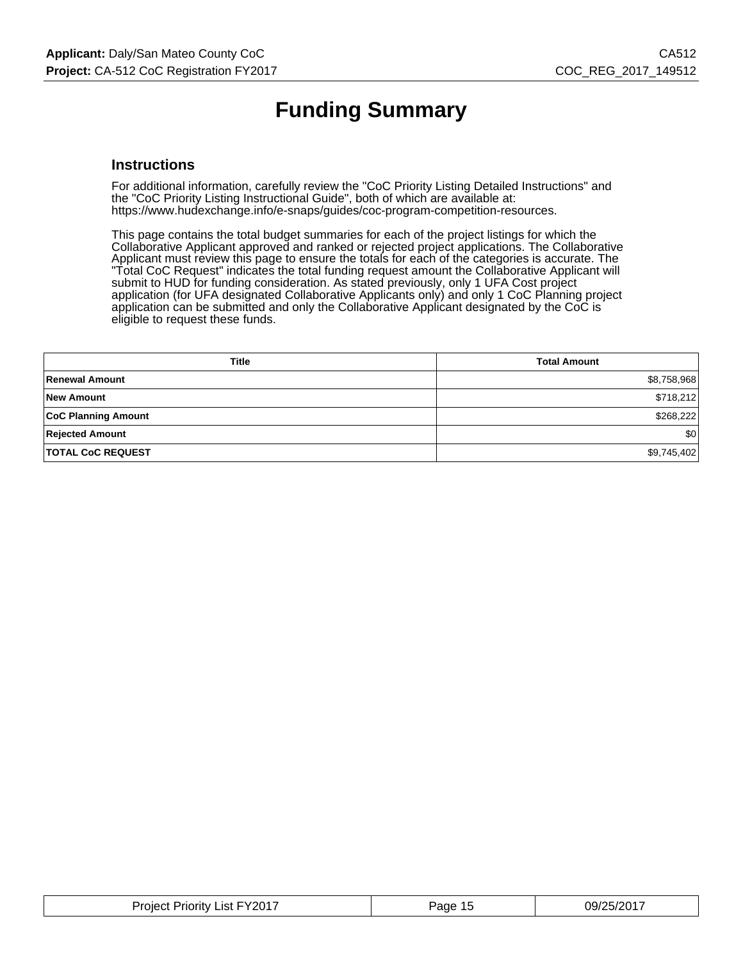### **Funding Summary**

#### **Instructions**

For additional information, carefully review the "CoC Priority Listing Detailed Instructions" and the "CoC Priority Listing Instructional Guide", both of which are available at: https://www.hudexchange.info/e-snaps/guides/coc-program-competition-resources.

This page contains the total budget summaries for each of the project listings for which the Collaborative Applicant approved and ranked or rejected project applications. The Collaborative Applicant must review this page to ensure the totals for each of the categories is accurate. The "Total CoC Request" indicates the total funding request amount the Collaborative Applicant will submit to HUD for funding consideration. As stated previously, only 1 UFA Cost project application (for UFA designated Collaborative Applicants only) and only 1 CoC Planning project application can be submitted and only the Collaborative Applicant designated by the CoC is eligible to request these funds.

| <b>Title</b>               | <b>Total Amount</b> |
|----------------------------|---------------------|
| Renewal Amount             | \$8,758,968         |
| New Amount                 | \$718,212           |
| <b>CoC Planning Amount</b> | \$268,222           |
| <b>Rejected Amount</b>     | \$0                 |
| <b>TOTAL CoC REQUEST</b>   | \$9,745,402         |

| <b>Project Priority List FY2017</b> | Page 15 | 09/25/2017 |
|-------------------------------------|---------|------------|
|-------------------------------------|---------|------------|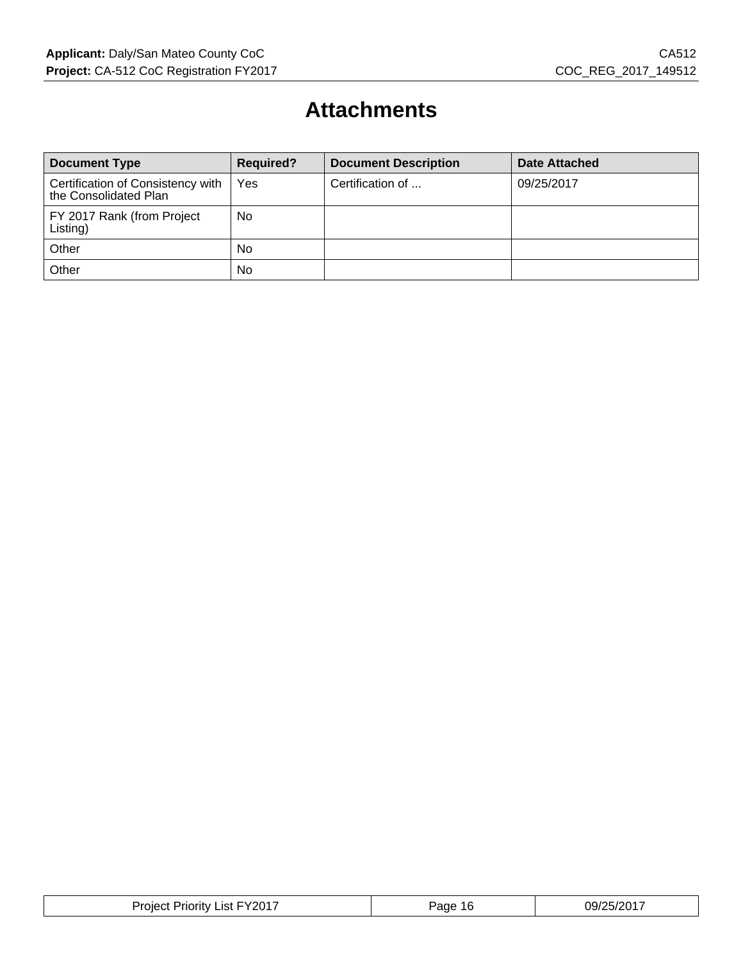### **Attachments**

| <b>Document Type</b>                                       | <b>Required?</b> | <b>Document Description</b> | <b>Date Attached</b> |
|------------------------------------------------------------|------------------|-----------------------------|----------------------|
| Certification of Consistency with<br>the Consolidated Plan | Yes              | Certification of            | 09/25/2017           |
| FY 2017 Rank (from Project<br>Listing)                     | No               |                             |                      |
| Other                                                      | No               |                             |                      |
| Other                                                      | <b>No</b>        |                             |                      |

| . FY2017<br>Proiect<br>_ıst :<br>'riority | Page<br>16 | 09/25/2017 |
|-------------------------------------------|------------|------------|
|-------------------------------------------|------------|------------|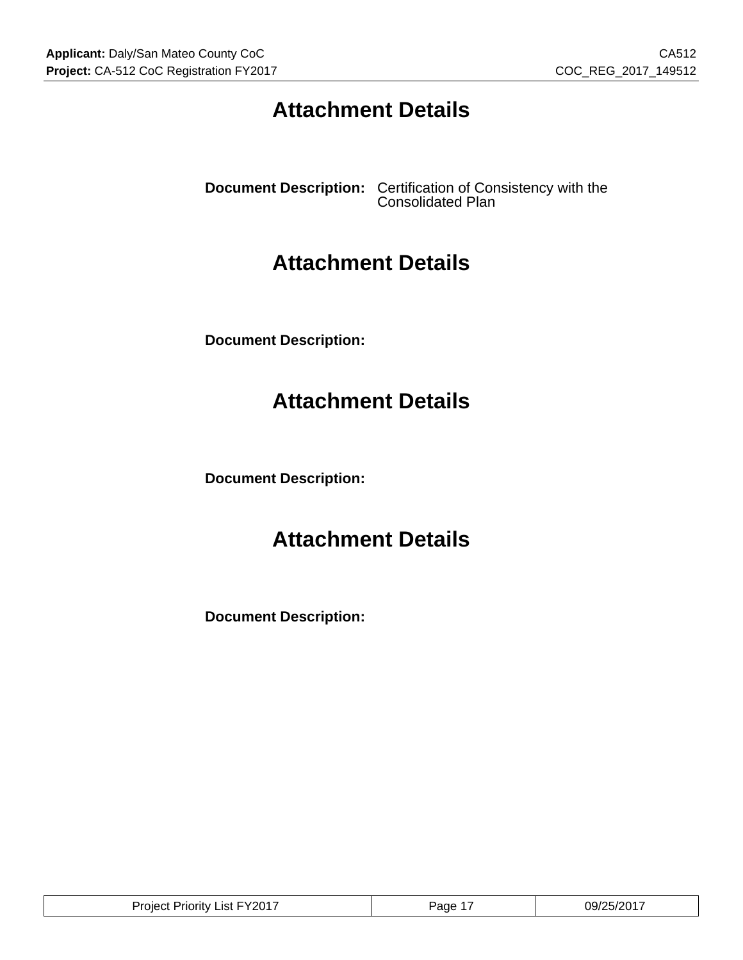### **Attachment Details**

**Document Description:** Certification of Consistency with the Consolidated Plan

### **Attachment Details**

**Document Description:**

### **Attachment Details**

**Document Description:**

### **Attachment Details**

**Document Description:**

| . ∟∨າ∩1⊤<br>⊃rم<br>_ıst<br>Priority ≀<br>$\sim$<br>'role.<br>- - | Page | 09/2<br>∤י∩מ<br>.⊿57″ |
|------------------------------------------------------------------|------|-----------------------|
|------------------------------------------------------------------|------|-----------------------|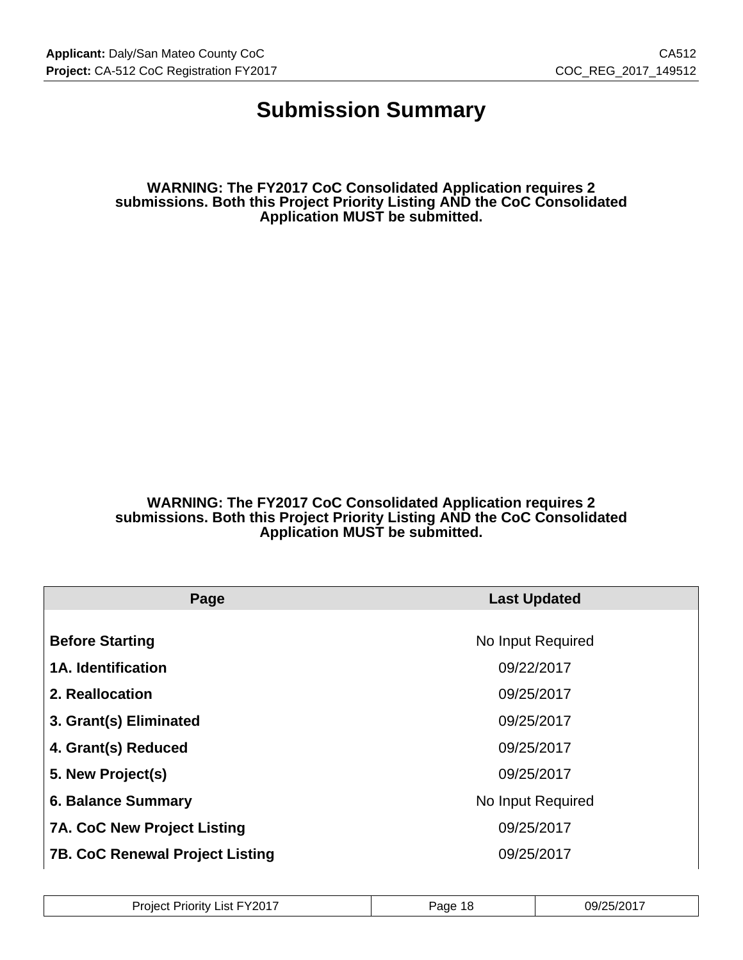### **Submission Summary**

**WARNING: The FY2017 CoC Consolidated Application requires 2 submissions. Both this Project Priority Listing AND the CoC Consolidated Application MUST be submitted.**

**WARNING: The FY2017 CoC Consolidated Application requires 2 submissions. Both this Project Priority Listing AND the CoC Consolidated Application MUST be submitted.**

| Page                                   | <b>Last Updated</b> |
|----------------------------------------|---------------------|
|                                        |                     |
| <b>Before Starting</b>                 | No Input Required   |
| <b>1A. Identification</b>              | 09/22/2017          |
| 2. Reallocation                        | 09/25/2017          |
| 3. Grant(s) Eliminated                 | 09/25/2017          |
| 4. Grant(s) Reduced                    | 09/25/2017          |
| 5. New Project(s)                      | 09/25/2017          |
| <b>6. Balance Summary</b>              | No Input Required   |
| <b>7A. CoC New Project Listing</b>     | 09/25/2017          |
| <b>7B. CoC Renewal Project Listing</b> | 09/25/2017          |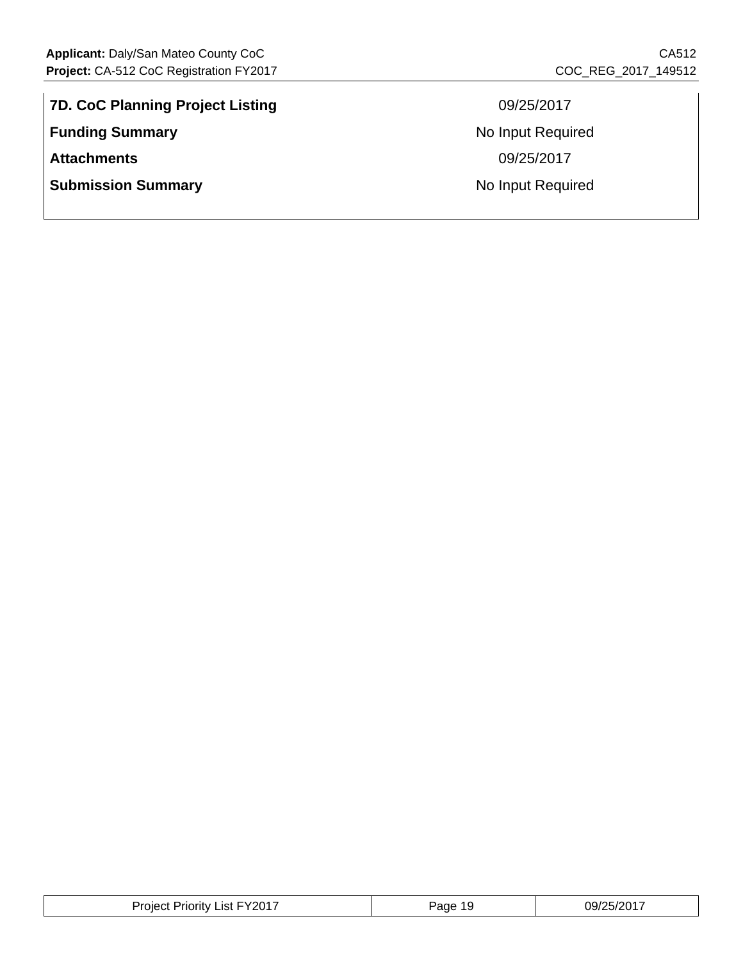**7D. CoC Planning Project Listing** 09/25/2017 **Funding Summary No Input Required No Input Required Attachments** 09/25/2017 **Submission Summary No Input Required No Input Required** 

| <b>Project Priority List FY2017</b> | Page<br>-19 | 09/25/2017 |
|-------------------------------------|-------------|------------|
|-------------------------------------|-------------|------------|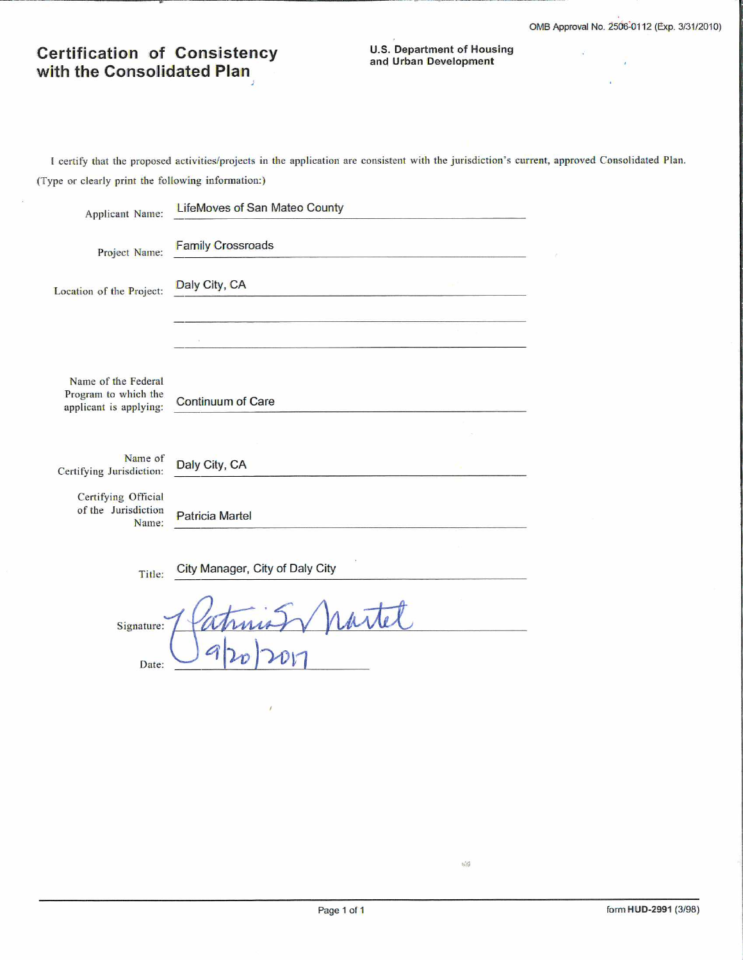$\mathbf{r}$ 

Ŷ.

 $\alpha$ 

#### **Certification of Consistency** with the Consolidated Plan

**U.S. Department of Housing** and Urban Development

I certify that the proposed activities/projects in the application are consistent with the jurisdiction's current, approved Consolidated Plan. (Type or clearly print the following information:)

| Applicant Name:                                                       | <b>LifeMoves of San Mateo County</b> |  |
|-----------------------------------------------------------------------|--------------------------------------|--|
| Project Name:                                                         | <b>Family Crossroads</b>             |  |
| Location of the Project:                                              | Daly City, CA                        |  |
|                                                                       |                                      |  |
| Name of the Federal<br>Program to which the<br>applicant is applying: | Continuum of Care                    |  |
| Name of                                                               |                                      |  |
| Certifying Jurisdiction:                                              | Daly City, CA                        |  |
| Certifying Official<br>of the Jurisdiction<br>Name:                   | <b>Patricia Martel</b>               |  |
| Title:                                                                | City Manager, City of Daly City      |  |
| Signature:                                                            |                                      |  |
| Date:                                                                 |                                      |  |

 $\frac{1}{2} \frac{d^2}{d q^2}$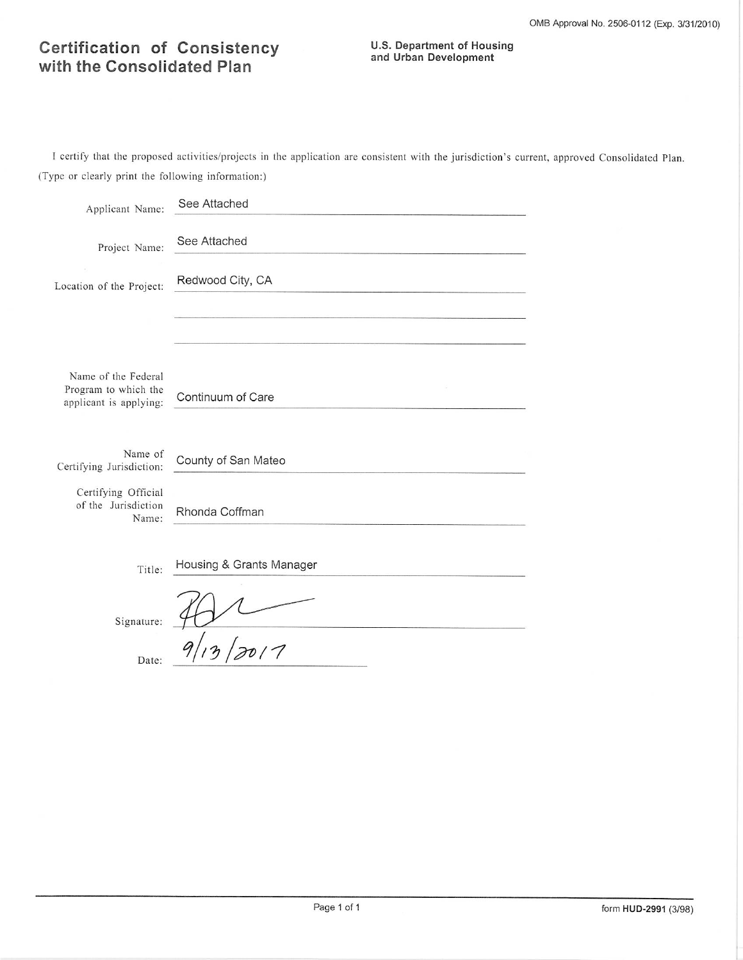#### **Certification of Consistency** with the Consolidated Plan

## **U.S. Department of Housing<br>and Urban Development**

I certify that the proposed activities/projects in the application are consistent with the jurisdiction's current, approved Consolidated Plan. (Type or clearly print the following information:)

| Applicant Name:                                     | See Attached             |
|-----------------------------------------------------|--------------------------|
| Project Name:                                       | See Attached             |
| Location of the Project:                            | Redwood City, CA         |
|                                                     |                          |
| Name of the Federal                                 |                          |
| Program to which the<br>applicant is applying:      | Continuum of Care        |
|                                                     |                          |
| Name of<br>Certifying Jurisdiction:                 | County of San Mateo      |
| Certifying Official<br>of the Jurisdiction<br>Name: | Rhonda Coffman           |
| Title:                                              | Housing & Grants Manager |
| Signature:                                          |                          |
| Date:                                               |                          |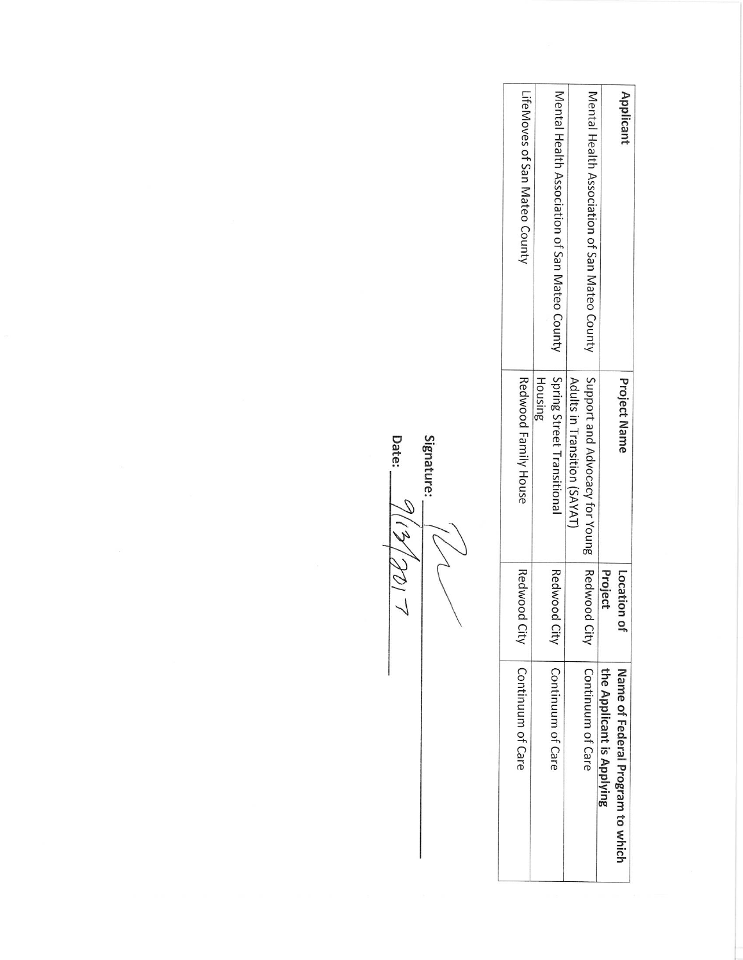| Applicant                                     | <b>Project Name</b>                      | Location o      | Name of Federal Program to which |
|-----------------------------------------------|------------------------------------------|-----------------|----------------------------------|
|                                               |                                          | Project         | the Applicant is Applying        |
| Mental Health Association of San Mateo County | Support and Advocacy for Young   Redwood | City            | Continuum of Care                |
|                                               | Adults in Transition (SAYAT)             |                 |                                  |
| Mental Health Association of San Mateo County | Spring Street Transitional               | Redwood<br>City | Continuum of Care                |
|                                               | Housing                                  |                 |                                  |
| LifeMoves of San Mateo County                 | Redwood Family House                     | Redwood<br>City | Continuum of Care                |
|                                               |                                          |                 |                                  |
|                                               |                                          |                 |                                  |

Signature:  $\frac{16}{2(15/2017)}$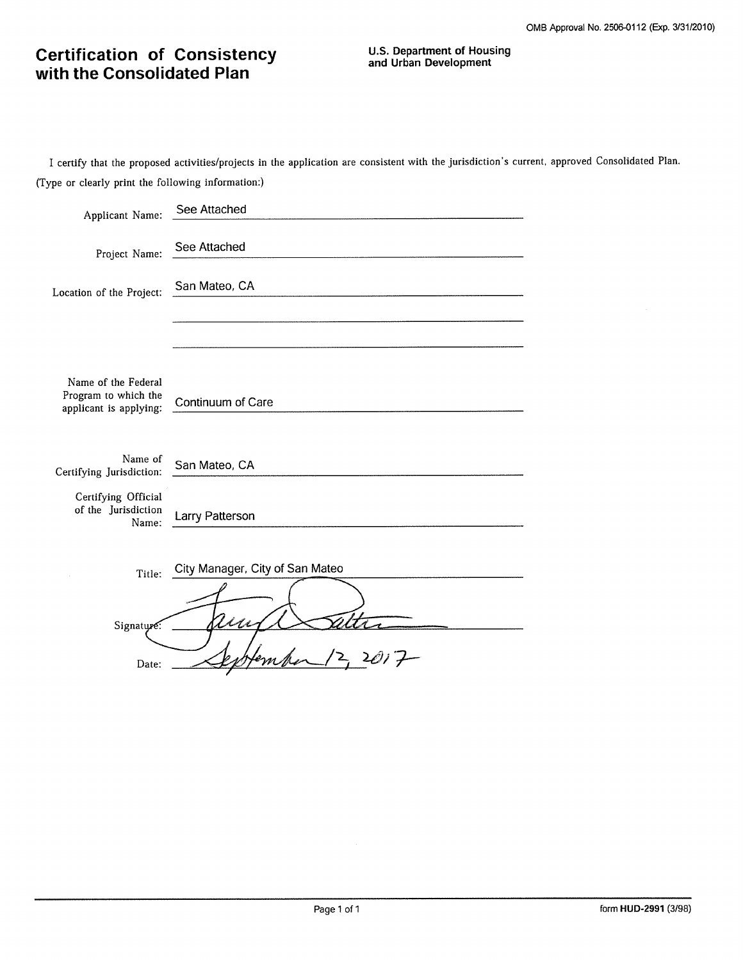# **Certification of Consistency**<br>with the Consolidated Plan

I certify that the proposed activities/projects in the application are consistent with the jurisdiction's current, approved Consolidated Plan. (Type or clearly print the following information:)

| Applicant Name:                                                       | See Attached                    |
|-----------------------------------------------------------------------|---------------------------------|
| Project Name:                                                         | See Attached                    |
| Location of the Project:                                              | San Mateo, CA                   |
|                                                                       |                                 |
| Name of the Federal<br>Program to which the<br>applicant is applying: | Continuum of Care               |
| Name of<br>Certifying Jurisdiction:                                   | San Mateo, CA                   |
| Certifying Official<br>of the Jurisdiction<br>Name:                   | Larry Patterson                 |
| Title:                                                                | City Manager, City of San Mateo |
| Signature:                                                            |                                 |
| Date:                                                                 | $\frac{1}{2}$                   |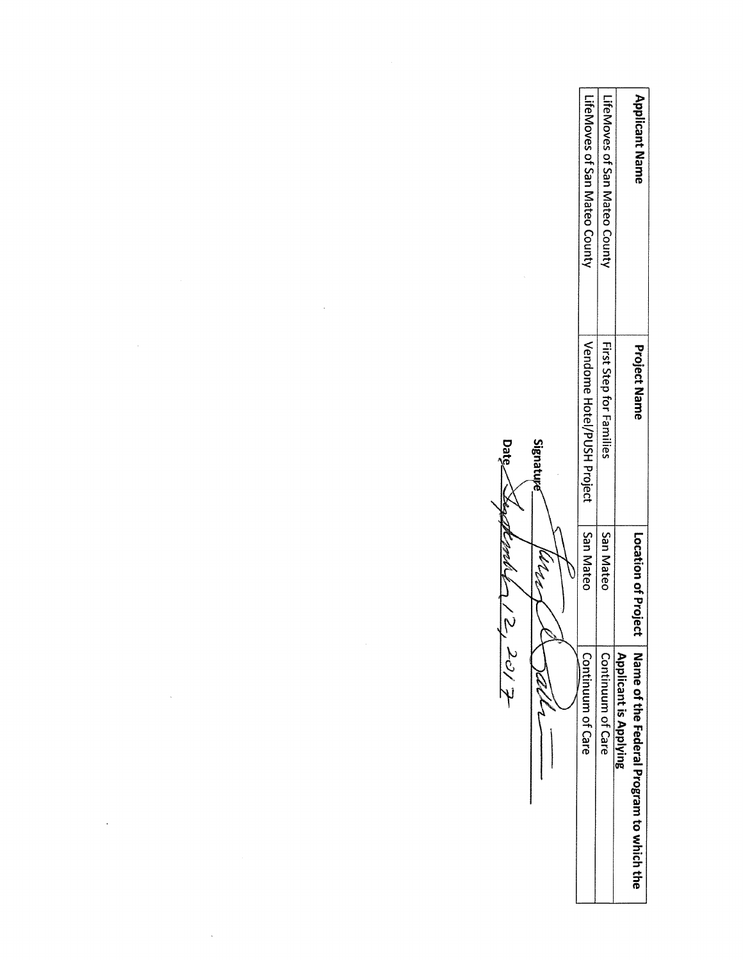| <b>Applicant Name</b>         | <b>Project Name</b>        | Location of Project | Name of the Federal Program to which the<br><b>Applicant is Applying</b> |
|-------------------------------|----------------------------|---------------------|--------------------------------------------------------------------------|
| LifeMoves of San Mateo County | First Step for Families    | San Mateo           | Continuum of Care                                                        |
| LifeMoves of San Mateo County | Vendome Hotel/PUSH Project | San Mateo           | Continuum of Care                                                        |
|                               | Signature<br>J.            | المعمل              | Talls                                                                    |
|                               | Date                       | Jach-               | $\frac{2}{3}$ 20/2                                                       |
|                               |                            |                     |                                                                          |
|                               |                            | $\sim$              |                                                                          |
|                               |                            |                     |                                                                          |
|                               |                            |                     |                                                                          |
|                               | $\alpha$                   |                     |                                                                          |
|                               |                            |                     |                                                                          |

 $\label{eq:2.1} \frac{1}{\sqrt{2}}\int_{\mathbb{R}^3}\frac{1}{\sqrt{2}}\left(\frac{1}{\sqrt{2}}\right)^2\left(\frac{1}{\sqrt{2}}\right)^2\left(\frac{1}{\sqrt{2}}\right)^2\left(\frac{1}{\sqrt{2}}\right)^2.$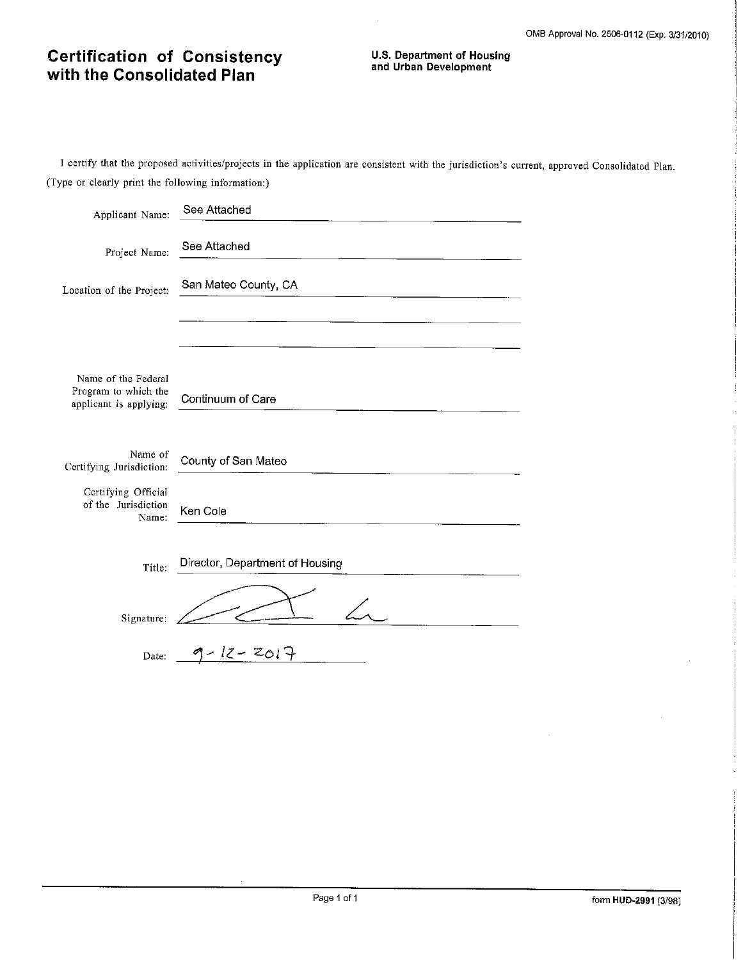# **Certification of Consistency**<br>with the Consolidated Plan

I certify that the proposed activities/projects in the application are consistent with the jurisdiction's current, approved Consolidated Plan. (Type or clearly print the following information:)

 $\bar{z}$ 

| Applicant Name:                                                       | See Attached                    |
|-----------------------------------------------------------------------|---------------------------------|
| Project Name:                                                         | See Attached                    |
| Location of the Project:                                              | San Mateo County, CA            |
|                                                                       |                                 |
| Name of the Federal<br>Program to which the<br>applicant is applying: | Continuum of Care               |
| Name of<br>Certifying Jurisdiction:                                   | County of San Mateo             |
| Certifying Official<br>of the Jurisdiction<br>Name:                   | Ken Cole                        |
| Title:                                                                | Director, Department of Housing |
| Signature:                                                            |                                 |
| Date:                                                                 | - 12- ZO17                      |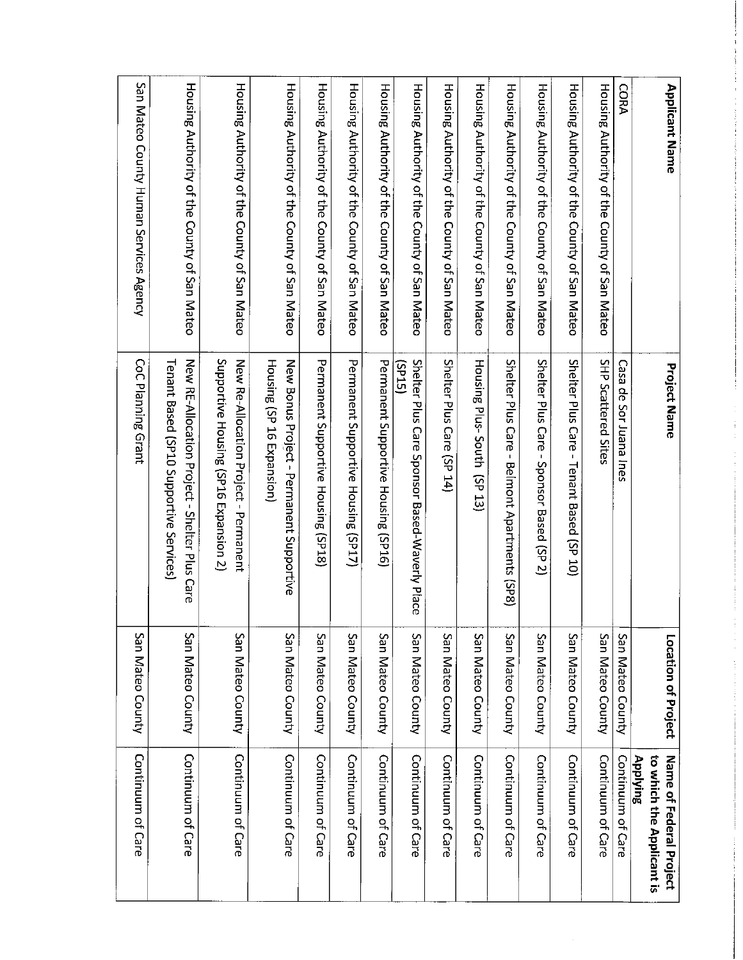| <b>Applicant Name</b>                        | <b>Project Name</b>                                                                      | Location of Project | to which the Applicant is<br>Name of Federal Project<br>Applying |
|----------------------------------------------|------------------------------------------------------------------------------------------|---------------------|------------------------------------------------------------------|
| <b>CORA</b>                                  | Casa de Sor Juana Ines                                                                   | San Mateo County    | Continuum of Care                                                |
| Housing Authority of the County of San Mateo | SHP Scattered Sites                                                                      | San Mateo County    | Continuum of Care                                                |
| Housing Authority of the County of San Mateo | Shelter Plus Care - Tenant Based (SP 10)                                                 | San Mateo County    | Continuum of Care                                                |
| Housing Authority of the County of San Mateo | Shelter Plus Care - Sponsor Based (SP 2)                                                 | San Mateo County    | Continuum of Care                                                |
| Housing Authority of the County of San Mateo | Shelter Plus Care - Beimont Apartments (SP8)                                             | San Mateo County    | Continuum of Care                                                |
| Housing Authority of the County of San Mateo | Housing Plus-South (SP 13)                                                               | San Mateo County    | Continuum of Care                                                |
| Housing Authority of the County of San Mateo | Shelter Plus Care (SP 14)                                                                | San Mateo County    | Continuum of Care                                                |
| Housing Authority of the County of San Mateo | Shelter Plus Care Sponsor Based-Waverly Place<br>(SLdS)                                  | San Mateo County    | Continuum of Care                                                |
| Housing Authority of the County of San Mateo | Permanent Supportive Housing (SP16)                                                      | San Mateo County    | Continuum of Care                                                |
| Housing Authority of the County of San Mateo | Permanent Supportive Housing (SP17)                                                      | San Mateo County    | Continuum of Care                                                |
| Housing Authority of the County of San Mateo | Permanent Supportive Housing (SP18)                                                      | San Mateo County    | Continuum of Care                                                |
| Housing Authority of the County of San Mateo | Housing (SP 16 Expansion)<br>New Bonus Project - Permanent Supportive                    | San Mateo County    | Continuum of Care                                                |
| Housing Authority of the County of San Mateo | Supportive Housing (SP16 Expansion 2)<br>New Re-Allocation Project - Permanent           | San Mateo County    | Continuum of Care                                                |
| Housing Authority of the County of San Mateo | New RE-Allocation Project - Shelter Plus Care<br>Tenant Based (SP10 Supportive Services) | San Mateo County    | Continuum of Care                                                |
| San Mateo County Human Services Agency       | CoC Planning Grant                                                                       | San Mateo County    | Continuum of Care                                                |